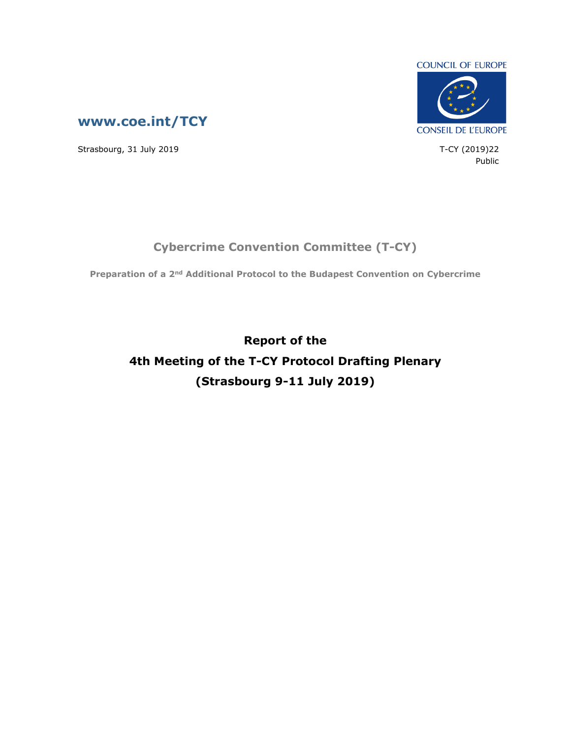



Strasbourg, 31 July 2019 T-CY (2019)22

Public

### **Cybercrime Convention Committee (T-CY)**

**Preparation of a 2nd Additional Protocol to the Budapest Convention on Cybercrime**

**Report of the 4th Meeting of the T-CY Protocol Drafting Plenary (Strasbourg 9-11 July 2019)**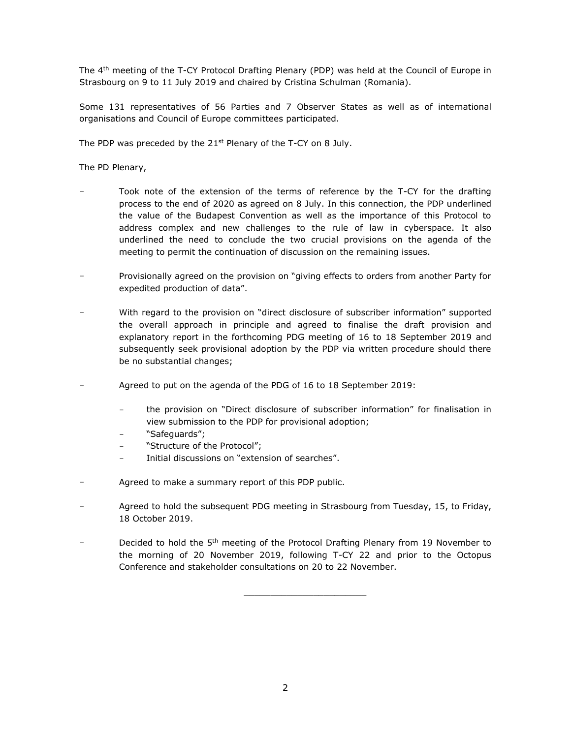The 4<sup>th</sup> meeting of the T-CY Protocol Drafting Plenary (PDP) was held at the Council of Europe in Strasbourg on 9 to 11 July 2019 and chaired by Cristina Schulman (Romania).

Some 131 representatives of 56 Parties and 7 Observer States as well as of international organisations and Council of Europe committees participated.

The PDP was preceded by the  $21<sup>st</sup>$  Plenary of the T-CY on 8 July.

The PD Plenary,

- Took note of the extension of the terms of reference by the T-CY for the drafting process to the end of 2020 as agreed on 8 July. In this connection, the PDP underlined the value of the Budapest Convention as well as the importance of this Protocol to address complex and new challenges to the rule of law in cyberspace. It also underlined the need to conclude the two crucial provisions on the agenda of the meeting to permit the continuation of discussion on the remaining issues.
- Provisionally agreed on the provision on "giving effects to orders from another Party for expedited production of data".
- With regard to the provision on "direct disclosure of subscriber information" supported the overall approach in principle and agreed to finalise the draft provision and explanatory report in the forthcoming PDG meeting of 16 to 18 September 2019 and subsequently seek provisional adoption by the PDP via written procedure should there be no substantial changes;
- Agreed to put on the agenda of the PDG of 16 to 18 September 2019:
	- the provision on "Direct disclosure of subscriber information" for finalisation in view submission to the PDP for provisional adoption;
	- "Safeguards";
	- "Structure of the Protocol":
	- Initial discussions on "extension of searches".
- Agreed to make a summary report of this PDP public.
- Agreed to hold the subsequent PDG meeting in Strasbourg from Tuesday, 15, to Friday, 18 October 2019.
- Decided to hold the 5<sup>th</sup> meeting of the Protocol Drafting Plenary from 19 November to the morning of 20 November 2019, following T-CY 22 and prior to the Octopus Conference and stakeholder consultations on 20 to 22 November.

\_\_\_\_\_\_\_\_\_\_\_\_\_\_\_\_\_\_\_\_\_\_\_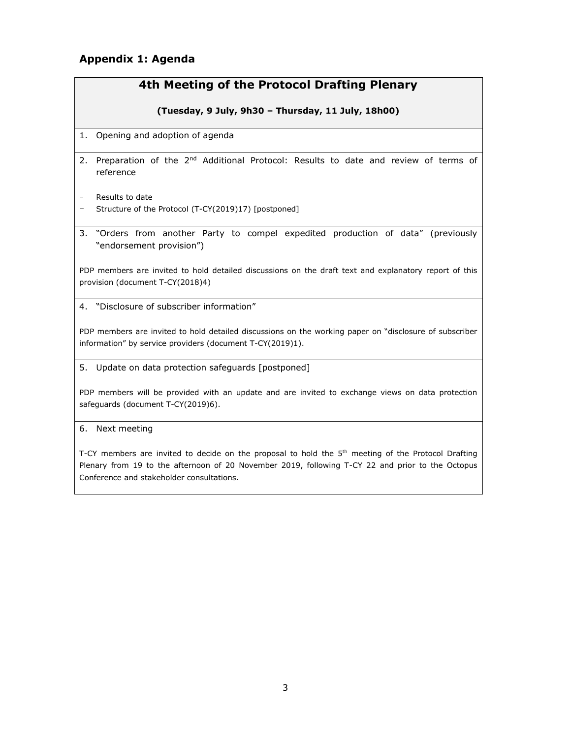#### **Appendix 1: Agenda**

#### **4th Meeting of the Protocol Drafting Plenary**

#### **(Tuesday, 9 July, 9h30 – Thursday, 11 July, 18h00)**

- 1. Opening and adoption of agenda
- 2. Preparation of the  $2^{nd}$  Additional Protocol: Results to date and review of terms of reference
- Results to date
- Structure of the Protocol (T-CY(2019)17) [postponed]
- 3. "Orders from another Party to compel expedited production of data" (previously "endorsement provision")

PDP members are invited to hold detailed discussions on the draft text and explanatory report of this provision (document T-CY(2018)4)

4. "Disclosure of subscriber information"

PDP members are invited to hold detailed discussions on the working paper on "disclosure of subscriber information" by service providers (document T-CY(2019)1).

5. Update on data protection safeguards [postponed]

PDP members will be provided with an update and are invited to exchange views on data protection safeguards (document T-CY(2019)6).

6. Next meeting

T-CY members are invited to decide on the proposal to hold the 5<sup>th</sup> meeting of the Protocol Drafting Plenary from 19 to the afternoon of 20 November 2019, following T-CY 22 and prior to the Octopus Conference and stakeholder consultations.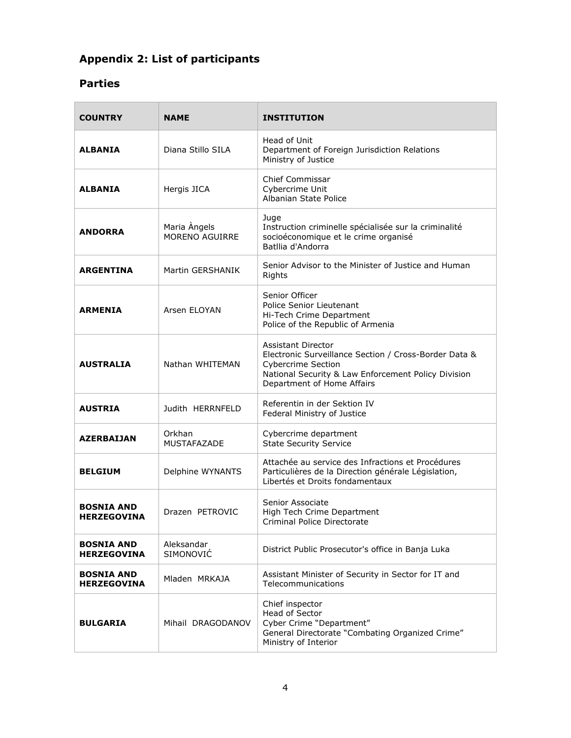# **Appendix 2: List of participants**

### **Parties**

| <b>COUNTRY</b>                          | <b>NAME</b>                    | <b>INSTITUTION</b>                                                                                                                                                                            |  |
|-----------------------------------------|--------------------------------|-----------------------------------------------------------------------------------------------------------------------------------------------------------------------------------------------|--|
| <b>ALBANIA</b>                          | Diana Stillo SILA              | Head of Unit<br>Department of Foreign Jurisdiction Relations<br>Ministry of Justice                                                                                                           |  |
| <b>ALBANIA</b>                          | Hergis JICA                    | <b>Chief Commissar</b><br>Cybercrime Unit<br>Albanian State Police                                                                                                                            |  |
| <b>ANDORRA</b>                          | Maria Angels<br>MORENO AGUIRRE | Juge<br>Instruction criminelle spécialisée sur la criminalité<br>socioéconomique et le crime organisé<br>Batllia d'Andorra                                                                    |  |
| <b>ARGENTINA</b>                        | Martin GERSHANIK               | Senior Advisor to the Minister of Justice and Human<br>Rights                                                                                                                                 |  |
| <b>ARMENIA</b>                          | Arsen ELOYAN                   | Senior Officer<br>Police Senior Lieutenant<br>Hi-Tech Crime Department<br>Police of the Republic of Armenia                                                                                   |  |
| <b>AUSTRALIA</b>                        | Nathan WHITEMAN                | Assistant Director<br>Electronic Surveillance Section / Cross-Border Data &<br><b>Cybercrime Section</b><br>National Security & Law Enforcement Policy Division<br>Department of Home Affairs |  |
| <b>AUSTRIA</b>                          | Judith HERRNFELD               | Referentin in der Sektion IV<br>Federal Ministry of Justice                                                                                                                                   |  |
| <b>AZERBAIJAN</b>                       | Orkhan<br>MUSTAFAZADE          | Cybercrime department<br><b>State Security Service</b>                                                                                                                                        |  |
| <b>BELGIUM</b>                          | Delphine WYNANTS               | Attachée au service des Infractions et Procédures<br>Particulières de la Direction générale Législation,<br>Libertés et Droits fondamentaux                                                   |  |
| BOSNIA AND<br><b>HERZEGOVINA</b>        | Drazen PETROVIC                | Senior Associate<br>High Tech Crime Department<br>Criminal Police Directorate                                                                                                                 |  |
| <b>BOSNIA AND</b><br><b>HERZEGOVINA</b> | Aleksandar<br>SIMONOVIĆ        | District Public Prosecutor's office in Banja Luka                                                                                                                                             |  |
| <b>BOSNIA AND</b><br><b>HERZEGOVINA</b> | Mladen MRKAJA                  | Assistant Minister of Security in Sector for IT and<br>Telecommunications                                                                                                                     |  |
| <b>BULGARIA</b>                         | Mihail DRAGODANOV              | Chief inspector<br><b>Head of Sector</b><br>Cyber Crime "Department"<br>General Directorate "Combating Organized Crime"<br>Ministry of Interior                                               |  |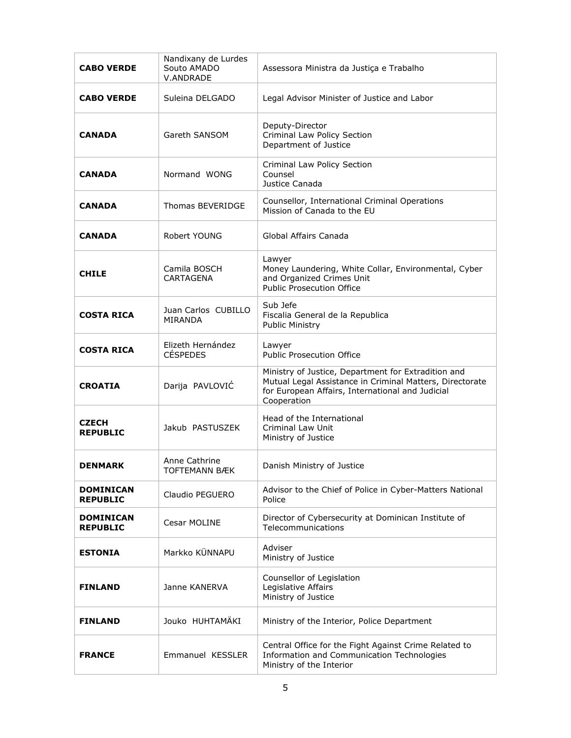| <b>CABO VERDE</b>                   | Nandixany de Lurdes<br>Souto AMADO<br><b>V.ANDRADE</b> | Assessora Ministra da Justiça e Trabalho                                                                                                                                           |  |
|-------------------------------------|--------------------------------------------------------|------------------------------------------------------------------------------------------------------------------------------------------------------------------------------------|--|
| <b>CABO VERDE</b>                   | Suleina DELGADO                                        | Legal Advisor Minister of Justice and Labor                                                                                                                                        |  |
| <b>CANADA</b>                       | Gareth SANSOM                                          | Deputy-Director<br>Criminal Law Policy Section<br>Department of Justice                                                                                                            |  |
| <b>CANADA</b>                       | Normand WONG                                           | Criminal Law Policy Section<br>Counsel<br>Justice Canada                                                                                                                           |  |
| <b>CANADA</b>                       | Thomas BEVERIDGE                                       | Counsellor, International Criminal Operations<br>Mission of Canada to the EU                                                                                                       |  |
| <b>CANADA</b>                       | Robert YOUNG                                           | Global Affairs Canada                                                                                                                                                              |  |
| <b>CHILE</b>                        | Camila BOSCH<br>CARTAGENA                              | Lawyer<br>Money Laundering, White Collar, Environmental, Cyber<br>and Organized Crimes Unit<br><b>Public Prosecution Office</b>                                                    |  |
| <b>COSTA RICA</b>                   | Juan Carlos CUBILLO<br>MIRANDA                         | Sub Jefe<br>Fiscalia General de la Republica<br><b>Public Ministry</b>                                                                                                             |  |
| <b>COSTA RICA</b>                   | Elizeth Hernández<br><b>CÉSPEDES</b>                   | Lawyer<br><b>Public Prosecution Office</b>                                                                                                                                         |  |
| <b>CROATIA</b>                      | Darija PAVLOVIĆ                                        | Ministry of Justice, Department for Extradition and<br>Mutual Legal Assistance in Criminal Matters, Directorate<br>for European Affairs, International and Judicial<br>Cooperation |  |
| <b>CZECH</b><br><b>REPUBLIC</b>     | Jakub PASTUSZEK                                        | Head of the International<br>Criminal Law Unit<br>Ministry of Justice                                                                                                              |  |
| <b>DENMARK</b>                      | Anne Cathrine<br>TOFTEMANN BÆK                         | Danish Ministry of Justice                                                                                                                                                         |  |
| <b>DOMINICAN</b><br><b>REPUBLIC</b> | Claudio PEGUERO                                        | Advisor to the Chief of Police in Cyber-Matters National<br>Police                                                                                                                 |  |
| <b>DOMINICAN</b><br><b>REPUBLIC</b> | Cesar MOLINE                                           | Director of Cybersecurity at Dominican Institute of<br>Telecommunications                                                                                                          |  |
| <b>ESTONIA</b>                      | Markko KÜNNAPU                                         | Adviser<br>Ministry of Justice                                                                                                                                                     |  |
| <b>FINLAND</b>                      | Janne KANERVA                                          | Counsellor of Legislation<br>Legislative Affairs<br>Ministry of Justice                                                                                                            |  |
| <b>FINLAND</b>                      | Jouko HUHTAMÄKI                                        | Ministry of the Interior, Police Department                                                                                                                                        |  |
| <b>FRANCE</b>                       | <b>Emmanuel KESSLER</b>                                | Central Office for the Fight Against Crime Related to<br>Information and Communication Technologies<br>Ministry of the Interior                                                    |  |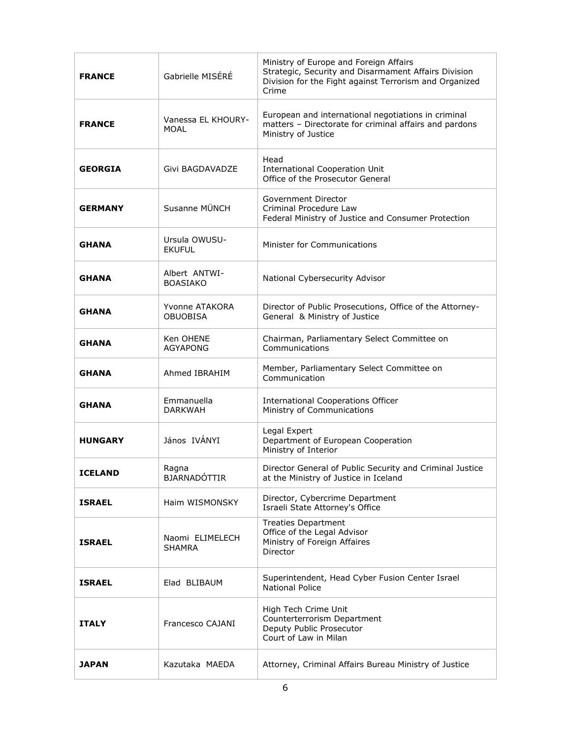| <b>FRANCE</b>  | Gabrielle MISÉRÉ                  | Ministry of Europe and Foreign Affairs<br>Strategic, Security and Disarmament Affairs Division<br>Division for the Fight against Terrorism and Organized<br>Crime |  |
|----------------|-----------------------------------|-------------------------------------------------------------------------------------------------------------------------------------------------------------------|--|
| <b>FRANCE</b>  | Vanessa EL KHOURY-<br>MOAL        | European and international negotiations in criminal<br>matters - Directorate for criminal affairs and pardons<br>Ministry of Justice                              |  |
| <b>GEORGIA</b> | Givi BAGDAVADZE                   | Head<br><b>International Cooperation Unit</b><br>Office of the Prosecutor General                                                                                 |  |
| <b>GERMANY</b> | Susanne MÜNCH                     | Government Director<br>Criminal Procedure Law<br>Federal Ministry of Justice and Consumer Protection                                                              |  |
| <b>GHANA</b>   | Ursula OWUSU-<br><b>EKUFUL</b>    | <b>Minister for Communications</b>                                                                                                                                |  |
| <b>GHANA</b>   | Albert ANTWI-<br><b>BOASIAKO</b>  | National Cybersecurity Advisor                                                                                                                                    |  |
| <b>GHANA</b>   | Yvonne ATAKORA<br><b>OBUOBISA</b> | Director of Public Prosecutions, Office of the Attorney-<br>General & Ministry of Justice                                                                         |  |
| <b>GHANA</b>   | Ken OHENE<br><b>AGYAPONG</b>      | Chairman, Parliamentary Select Committee on<br>Communications                                                                                                     |  |
| <b>GHANA</b>   | Ahmed IBRAHIM                     | Member, Parliamentary Select Committee on<br>Communication                                                                                                        |  |
| <b>GHANA</b>   | Emmanuella<br><b>DARKWAH</b>      | <b>International Cooperations Officer</b><br>Ministry of Communications                                                                                           |  |
| <b>HUNGARY</b> | János IVÁNYI                      | Legal Expert<br>Department of European Cooperation<br>Ministry of Interior                                                                                        |  |
| <b>ICELAND</b> | Ragna<br><b>BJARNADÓTTIR</b>      | Director General of Public Security and Criminal Justice<br>at the Ministry of Justice in Iceland                                                                 |  |
| <b>ISRAEL</b>  | Haim WISMONSKY                    | Director, Cybercrime Department<br>Israeli State Attorney's Office                                                                                                |  |
| <b>ISRAEL</b>  | Naomi ELIMELECH<br><b>SHAMRA</b>  | <b>Treaties Department</b><br>Office of the Legal Advisor<br>Ministry of Foreign Affaires<br>Director                                                             |  |
| <b>ISRAEL</b>  | Elad BLIBAUM                      | Superintendent, Head Cyber Fusion Center Israel<br><b>National Police</b>                                                                                         |  |
| <b>ITALY</b>   | Francesco CAJANI                  | High Tech Crime Unit<br>Counterterrorism Department<br>Deputy Public Prosecutor<br>Court of Law in Milan                                                          |  |
| <b>JAPAN</b>   | Kazutaka MAEDA                    | Attorney, Criminal Affairs Bureau Ministry of Justice                                                                                                             |  |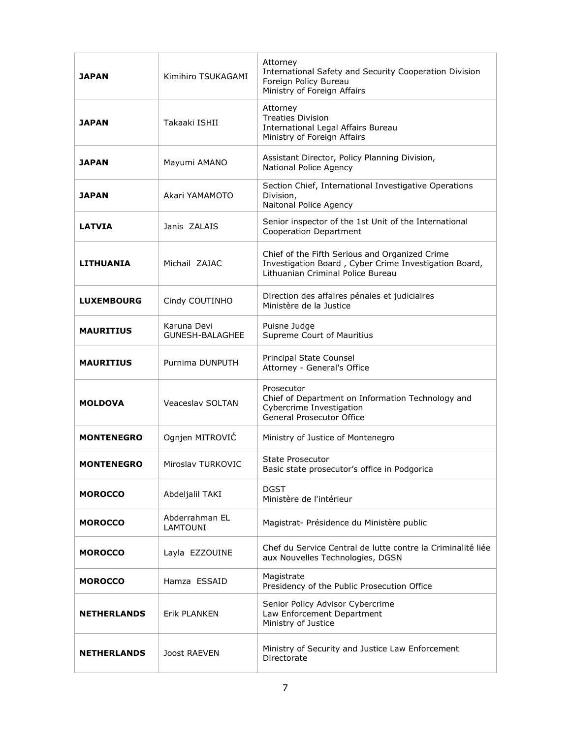| <b>JAPAN</b>       | Kimihiro TSUKAGAMI                    | Attorney<br>International Safety and Security Cooperation Division<br>Foreign Policy Bureau<br>Ministry of Foreign Affairs                   |  |
|--------------------|---------------------------------------|----------------------------------------------------------------------------------------------------------------------------------------------|--|
| <b>JAPAN</b>       | Takaaki ISHII                         | Attorney<br><b>Treaties Division</b><br>International Legal Affairs Bureau<br>Ministry of Foreign Affairs                                    |  |
| JAPAN              | Mayumi AMANO                          | Assistant Director, Policy Planning Division,<br>National Police Agency                                                                      |  |
| JAPAN              | Akari YAMAMOTO                        | Section Chief, International Investigative Operations<br>Division,<br>Naitonal Police Agency                                                 |  |
| <b>LATVIA</b>      | Janis ZALAIS                          | Senior inspector of the 1st Unit of the International<br>Cooperation Department                                                              |  |
| LITHUANIA          | Michail ZAJAC                         | Chief of the Fifth Serious and Organized Crime<br>Investigation Board, Cyber Crime Investigation Board,<br>Lithuanian Criminal Police Bureau |  |
| <b>LUXEMBOURG</b>  | Cindy COUTINHO                        | Direction des affaires pénales et judiciaires<br>Ministère de la Justice                                                                     |  |
| <b>MAURITIUS</b>   | Karuna Devi<br><b>GUNESH-BALAGHEE</b> | Puisne Judge<br>Supreme Court of Mauritius                                                                                                   |  |
| <b>MAURITIUS</b>   | Purnima DUNPUTH                       | Principal State Counsel<br>Attorney - General's Office                                                                                       |  |
| <b>MOLDOVA</b>     | Veaceslav SOLTAN                      | Prosecutor<br>Chief of Department on Information Technology and<br>Cybercrime Investigation<br><b>General Prosecutor Office</b>              |  |
| <b>MONTENEGRO</b>  | Ognjen MITROVIĆ                       | Ministry of Justice of Montenegro                                                                                                            |  |
| <b>MONTENEGRO</b>  | Miroslav TURKOVIC                     | State Prosecutor<br>Basic state prosecutor's office in Podgorica                                                                             |  |
| <b>MOROCCO</b>     | Abdeljalil TAKI                       | <b>DGST</b><br>Ministère de l'intérieur                                                                                                      |  |
| <b>MOROCCO</b>     | Abderrahman EL<br><b>LAMTOUNI</b>     | Magistrat- Présidence du Ministère public                                                                                                    |  |
| <b>MOROCCO</b>     | Layla EZZOUINE                        | Chef du Service Central de lutte contre la Criminalité liée<br>aux Nouvelles Technologies, DGSN                                              |  |
| <b>MOROCCO</b>     | Hamza ESSAID                          | Magistrate<br>Presidency of the Public Prosecution Office                                                                                    |  |
| <b>NETHERLANDS</b> | Erik PLANKEN                          | Senior Policy Advisor Cybercrime<br>Law Enforcement Department<br>Ministry of Justice                                                        |  |
| <b>NETHERLANDS</b> | <b>Joost RAEVEN</b>                   | Ministry of Security and Justice Law Enforcement<br>Directorate                                                                              |  |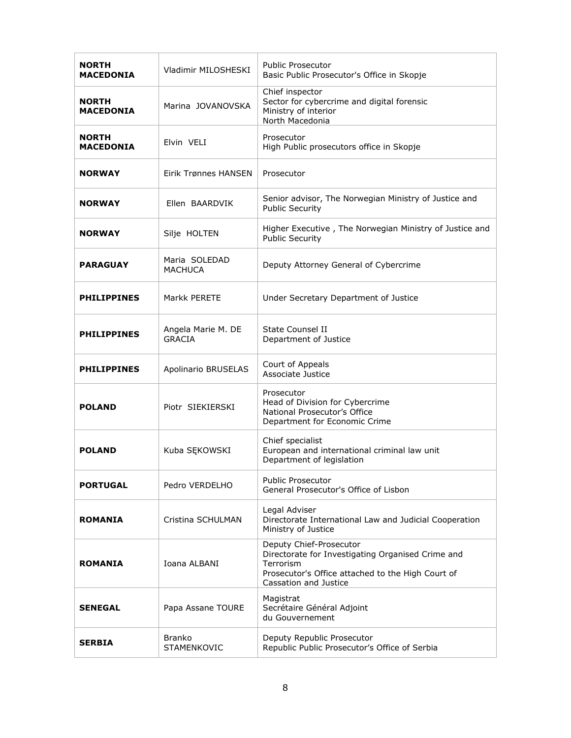| <b>NORTH</b><br><b>MACEDONIA</b> | Vladimir MILOSHESKI                 | <b>Public Prosecutor</b><br>Basic Public Prosecutor's Office in Skopje                                                                                                  |  |
|----------------------------------|-------------------------------------|-------------------------------------------------------------------------------------------------------------------------------------------------------------------------|--|
| <b>NORTH</b><br><b>MACEDONIA</b> | Marina JOVANOVSKA                   | Chief inspector<br>Sector for cybercrime and digital forensic<br>Ministry of interior<br>North Macedonia                                                                |  |
| NORTH<br><b>MACEDONIA</b>        | Elvin VELI                          | Prosecutor<br>High Public prosecutors office in Skopje                                                                                                                  |  |
| NORWAY                           | Eirik Trønnes HANSEN                | Prosecutor                                                                                                                                                              |  |
| <b>NORWAY</b>                    | Ellen BAARDVIK                      | Senior advisor, The Norwegian Ministry of Justice and<br><b>Public Security</b>                                                                                         |  |
| <b>NORWAY</b>                    | Silje HOLTEN                        | Higher Executive, The Norwegian Ministry of Justice and<br><b>Public Security</b>                                                                                       |  |
| <b>PARAGUAY</b>                  | Maria SOLEDAD<br><b>MACHUCA</b>     | Deputy Attorney General of Cybercrime                                                                                                                                   |  |
| <b>PHILIPPINES</b>               | Markk PERETE                        | Under Secretary Department of Justice                                                                                                                                   |  |
| <b>PHILIPPINES</b>               | Angela Marie M. DE<br><b>GRACIA</b> | <b>State Counsel II</b><br>Department of Justice                                                                                                                        |  |
| <b>PHILIPPINES</b>               | Apolinario BRUSELAS                 | Court of Appeals<br>Associate Justice                                                                                                                                   |  |
| <b>POLAND</b>                    | Piotr SIEKIERSKI                    | Prosecutor<br>Head of Division for Cybercrime<br>National Prosecutor's Office<br>Department for Economic Crime                                                          |  |
| POLAND                           | Kuba SĘKOWSKI                       | Chief specialist<br>European and international criminal law unit<br>Department of legislation                                                                           |  |
| <b>PORTUGAL</b>                  | Pedro VERDELHO                      | <b>Public Prosecutor</b><br>General Prosecutor's Office of Lisbon                                                                                                       |  |
| <b>ROMANIA</b>                   | Cristina SCHULMAN                   | Legal Adviser<br>Directorate International Law and Judicial Cooperation<br>Ministry of Justice                                                                          |  |
| <b>ROMANIA</b>                   | Ioana ALBANI                        | Deputy Chief-Prosecutor<br>Directorate for Investigating Organised Crime and<br>Terrorism<br>Prosecutor's Office attached to the High Court of<br>Cassation and Justice |  |
| <b>SENEGAL</b>                   | Papa Assane TOURE                   | Magistrat<br>Secrétaire Général Adjoint<br>du Gouvernement                                                                                                              |  |
| <b>SERBIA</b>                    | <b>Branko</b><br><b>STAMENKOVIC</b> | Deputy Republic Prosecutor<br>Republic Public Prosecutor's Office of Serbia                                                                                             |  |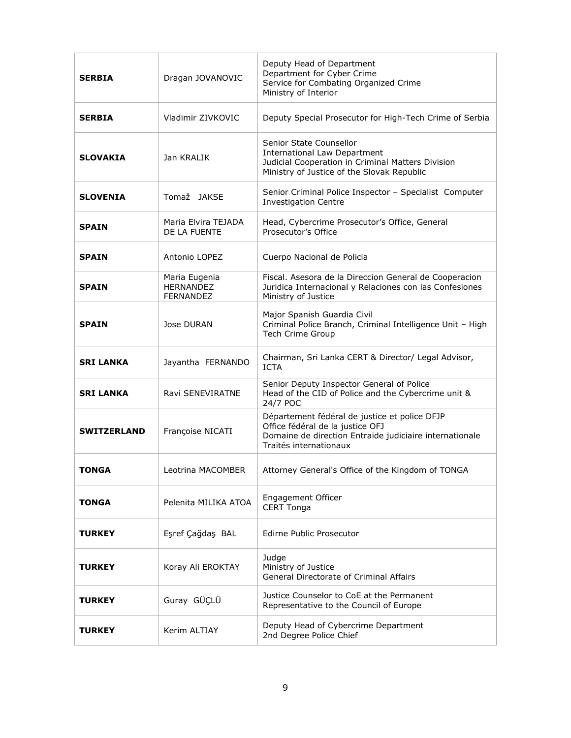| <b>SERBIA</b>      | Dragan JOVANOVIC                               | Deputy Head of Department<br>Department for Cyber Crime<br>Service for Combating Organized Crime<br>Ministry of Interior                                               |  |
|--------------------|------------------------------------------------|------------------------------------------------------------------------------------------------------------------------------------------------------------------------|--|
| <b>SERBIA</b>      | Vladimir ZIVKOVIC                              | Deputy Special Prosecutor for High-Tech Crime of Serbia                                                                                                                |  |
| <b>SLOVAKIA</b>    | Jan KRALIK                                     | Senior State Counsellor<br><b>International Law Department</b><br>Judicial Cooperation in Criminal Matters Division<br>Ministry of Justice of the Slovak Republic      |  |
| <b>SLOVENIA</b>    | Tomaž JAKSE                                    | Senior Criminal Police Inspector - Specialist Computer<br><b>Investigation Centre</b>                                                                                  |  |
| <b>SPAIN</b>       | Maria Elvira TEJADA<br>DE LA FUENTE            | Head, Cybercrime Prosecutor's Office, General<br>Prosecutor's Office                                                                                                   |  |
| <b>SPAIN</b>       | Antonio LOPEZ                                  | Cuerpo Nacional de Policia                                                                                                                                             |  |
| <b>SPAIN</b>       | Maria Eugenia<br>HERNANDEZ<br><b>FERNANDEZ</b> | Fiscal. Asesora de la Direccion General de Cooperacion<br>Juridica Internacional y Relaciones con las Confesiones<br>Ministry of Justice                               |  |
| <b>SPAIN</b>       | Jose DURAN                                     | Major Spanish Guardia Civil<br>Criminal Police Branch, Criminal Intelligence Unit - High<br>Tech Crime Group                                                           |  |
| <b>SRI LANKA</b>   | Jayantha FERNANDO                              | Chairman, Sri Lanka CERT & Director/ Legal Advisor,<br><b>ICTA</b>                                                                                                     |  |
| <b>SRI LANKA</b>   | Ravi SENEVIRATNE                               | Senior Deputy Inspector General of Police<br>Head of the CID of Police and the Cybercrime unit &<br>24/7 POC                                                           |  |
| <b>SWITZERLAND</b> | Françoise NICATI                               | Département fédéral de justice et police DFJP<br>Office fédéral de la justice OFJ<br>Domaine de direction Entraide judiciaire internationale<br>Traités internationaux |  |
| TONGA              | Leotrina MACOMBER                              | Attorney General's Office of the Kingdom of TONGA                                                                                                                      |  |
| TONGA              | Pelenita MILIKA ATOA                           | Engagement Officer<br>CERT Tonga                                                                                                                                       |  |
| <b>TURKEY</b>      | Eşref Çağdaş BAL                               | Edirne Public Prosecutor                                                                                                                                               |  |
| <b>TURKEY</b>      | Koray Ali EROKTAY                              | Judge<br>Ministry of Justice<br>General Directorate of Criminal Affairs                                                                                                |  |
| <b>TURKEY</b>      | Guray GÜÇLÜ                                    | Justice Counselor to CoE at the Permanent<br>Representative to the Council of Europe                                                                                   |  |
| <b>TURKEY</b>      | Kerim ALTIAY                                   | Deputy Head of Cybercrime Department<br>2nd Degree Police Chief                                                                                                        |  |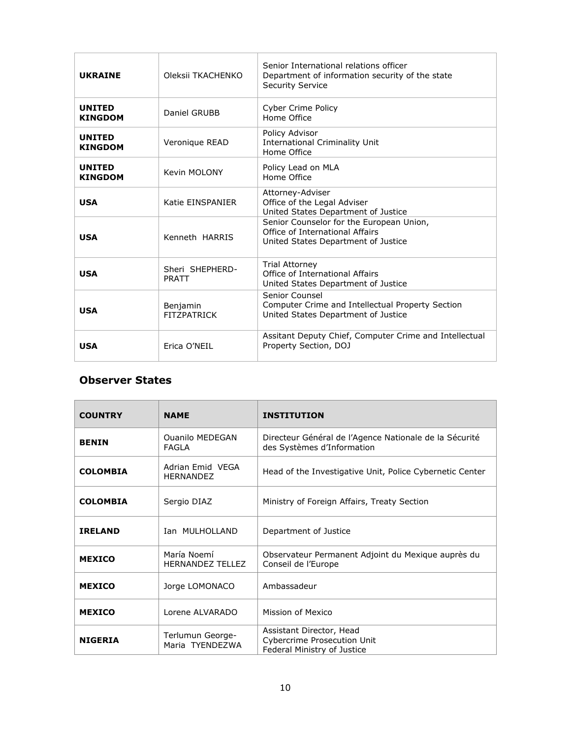| <b>UKRAINE</b>                  | Oleksii TKACHENKO                                                                                                           | Senior International relations officer<br>Department of information security of the state<br><b>Security Service</b> |  |
|---------------------------------|-----------------------------------------------------------------------------------------------------------------------------|----------------------------------------------------------------------------------------------------------------------|--|
| <b>UNITED</b><br><b>KINGDOM</b> | Daniel GRUBB                                                                                                                | <b>Cyber Crime Policy</b><br>Home Office                                                                             |  |
| <b>UNITED</b><br><b>KINGDOM</b> | Veronique READ                                                                                                              | Policy Advisor<br><b>International Criminality Unit</b><br>Home Office                                               |  |
| <b>UNITED</b><br><b>KINGDOM</b> | Kevin MOLONY                                                                                                                | Policy Lead on MLA<br>Home Office                                                                                    |  |
| <b>USA</b>                      | Katie EINSPANIER                                                                                                            | Attorney-Adviser<br>Office of the Legal Adviser<br>United States Department of Justice                               |  |
| <b>USA</b>                      | Kenneth HARRIS                                                                                                              | Senior Counselor for the European Union,<br>Office of International Affairs<br>United States Department of Justice   |  |
| <b>USA</b>                      | <b>Trial Attorney</b><br>Sheri SHEPHERD-<br>Office of International Affairs<br>PRATT<br>United States Department of Justice |                                                                                                                      |  |
| <b>USA</b>                      | Benjamin<br><b>FITZPATRICK</b>                                                                                              | Senior Counsel<br>Computer Crime and Intellectual Property Section<br>United States Department of Justice            |  |
| <b>USA</b>                      | Erica O'NEIL                                                                                                                | Assitant Deputy Chief, Computer Crime and Intellectual<br>Property Section, DOJ                                      |  |

#### **Observer States**

| <b>COUNTRY</b>  | <b>NAME</b>                            | <b>INSTITUTION</b>                                                                            |  |
|-----------------|----------------------------------------|-----------------------------------------------------------------------------------------------|--|
| <b>BENIN</b>    | <b>Ouanilo MEDEGAN</b><br>FAGLA        | Directeur Général de l'Agence Nationale de la Sécurité<br>des Systèmes d'Information          |  |
| <b>COLOMBIA</b> | Adrian Emid VEGA<br><b>HERNANDEZ</b>   | Head of the Investigative Unit, Police Cybernetic Center                                      |  |
| <b>COLOMBIA</b> | Sergio DIAZ                            | Ministry of Foreign Affairs, Treaty Section                                                   |  |
| <b>IRELAND</b>  | Ian MULHOLLAND                         | Department of Justice                                                                         |  |
| <b>MEXICO</b>   | María Noemí<br><b>HERNANDEZ TELLEZ</b> | Observateur Permanent Adjoint du Mexique auprès du<br>Conseil de l'Europe                     |  |
| <b>MEXICO</b>   | Jorge LOMONACO                         | Ambassadeur                                                                                   |  |
| <b>MEXICO</b>   | Lorene ALVARADO                        | Mission of Mexico                                                                             |  |
| <b>NIGERIA</b>  | Terlumun George-<br>Maria TYENDEZWA    | Assistant Director, Head<br><b>Cybercrime Prosecution Unit</b><br>Federal Ministry of Justice |  |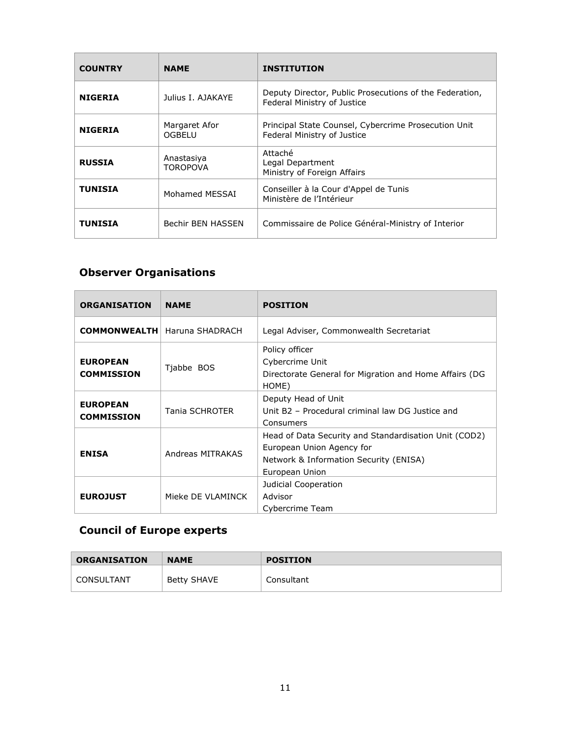| <b>COUNTRY</b> | <b>NAME</b>                   | <b>INSTITUTION</b>                                                                     |
|----------------|-------------------------------|----------------------------------------------------------------------------------------|
| <b>NIGERIA</b> | Julius I. AJAKAYE             | Deputy Director, Public Prosecutions of the Federation,<br>Federal Ministry of Justice |
| <b>NIGERIA</b> | Margaret Afor<br>OGBELU       | Principal State Counsel, Cybercrime Prosecution Unit<br>Federal Ministry of Justice    |
| <b>RUSSIA</b>  | Anastasiya<br><b>TOROPOVA</b> | Attaché<br>Legal Department<br>Ministry of Foreign Affairs                             |
| TUNISIA        | Mohamed MESSAI                | Conseiller à la Cour d'Appel de Tunis<br>Ministère de l'Intérieur                      |
| TUNISIA        | Bechir BEN HASSEN             | Commissaire de Police Général-Ministry of Interior                                     |

# **Observer Organisations**

| <b>ORGANISATION</b>                  | <b>NAME</b>                           | <b>POSITION</b>                                                                                                                                |  |
|--------------------------------------|---------------------------------------|------------------------------------------------------------------------------------------------------------------------------------------------|--|
|                                      | <b>COMMONWEALTH</b>   Haruna SHADRACH | Legal Adviser, Commonwealth Secretariat                                                                                                        |  |
| <b>EUROPEAN</b><br><b>COMMISSION</b> | Tjabbe BOS                            | Policy officer<br>Cybercrime Unit<br>Directorate General for Migration and Home Affairs (DG<br>HOME)                                           |  |
| <b>EUROPEAN</b><br><b>COMMISSION</b> | Tania SCHROTER                        | Deputy Head of Unit<br>Unit B2 - Procedural criminal law DG Justice and<br>Consumers                                                           |  |
| <b>ENISA</b>                         | Andreas MITRAKAS                      | Head of Data Security and Standardisation Unit (COD2)<br>European Union Agency for<br>Network & Information Security (ENISA)<br>European Union |  |
| <b>EUROJUST</b>                      | Mieke DE VLAMINCK                     | Judicial Cooperation<br>Advisor<br>Cybercrime Team                                                                                             |  |

### **Council of Europe experts**

| <b>ORGANISATION</b> | <b>NAME</b> | <b>POSITION</b> |
|---------------------|-------------|-----------------|
| CONSULTANT          | Betty SHAVE | Consultant      |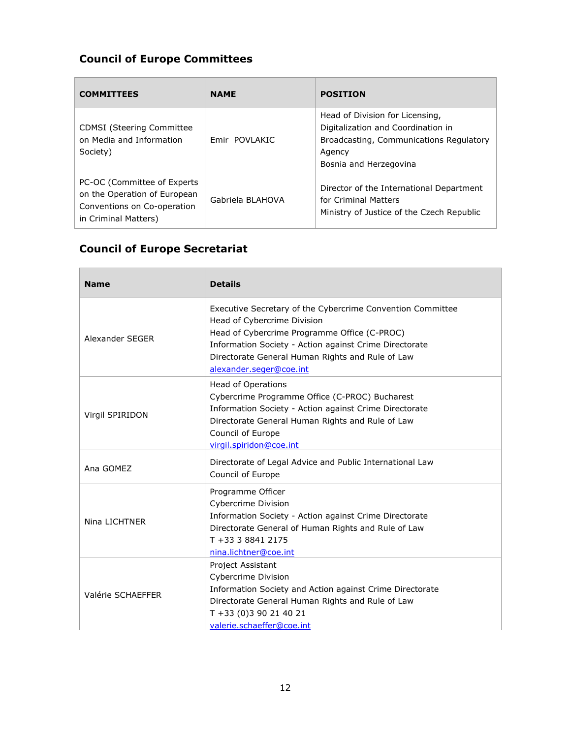# **Council of Europe Committees**

| <b>COMMITTEES</b>                                                                                                  | <b>NAME</b>      | <b>POSITION</b>                                                                                                                                      |
|--------------------------------------------------------------------------------------------------------------------|------------------|------------------------------------------------------------------------------------------------------------------------------------------------------|
| <b>CDMSI</b> (Steering Committee<br>on Media and Information<br>Society)                                           | Emir POVLAKIC    | Head of Division for Licensing,<br>Digitalization and Coordination in<br>Broadcasting, Communications Regulatory<br>Agency<br>Bosnia and Herzegovina |
| PC-OC (Committee of Experts<br>on the Operation of European<br>Conventions on Co-operation<br>in Criminal Matters) | Gabriela BLAHOVA | Director of the International Department<br>for Criminal Matters<br>Ministry of Justice of the Czech Republic                                        |

# **Council of Europe Secretariat**

| <b>Name</b>       | <b>Details</b>                                                                                                                                                                                                                                                                     |
|-------------------|------------------------------------------------------------------------------------------------------------------------------------------------------------------------------------------------------------------------------------------------------------------------------------|
| Alexander SEGER   | Executive Secretary of the Cybercrime Convention Committee<br>Head of Cybercrime Division<br>Head of Cybercrime Programme Office (C-PROC)<br>Information Society - Action against Crime Directorate<br>Directorate General Human Rights and Rule of Law<br>alexander.seger@coe.int |
| Virgil SPIRIDON   | <b>Head of Operations</b><br>Cybercrime Programme Office (C-PROC) Bucharest<br>Information Society - Action against Crime Directorate<br>Directorate General Human Rights and Rule of Law<br>Council of Europe<br>virgil.spiridon@coe.int                                          |
| Ana GOMEZ         | Directorate of Legal Advice and Public International Law<br>Council of Europe                                                                                                                                                                                                      |
| Nina LICHTNER     | Programme Officer<br><b>Cybercrime Division</b><br>Information Society - Action against Crime Directorate<br>Directorate General of Human Rights and Rule of Law<br>T +33 3 8841 2175<br>nina.lichtner@coe.int                                                                     |
| Valérie SCHAEFFER | Project Assistant<br><b>Cybercrime Division</b><br>Information Society and Action against Crime Directorate<br>Directorate General Human Rights and Rule of Law<br>T +33 (0)3 90 21 40 21<br>valerie.schaeffer@coe.int                                                             |